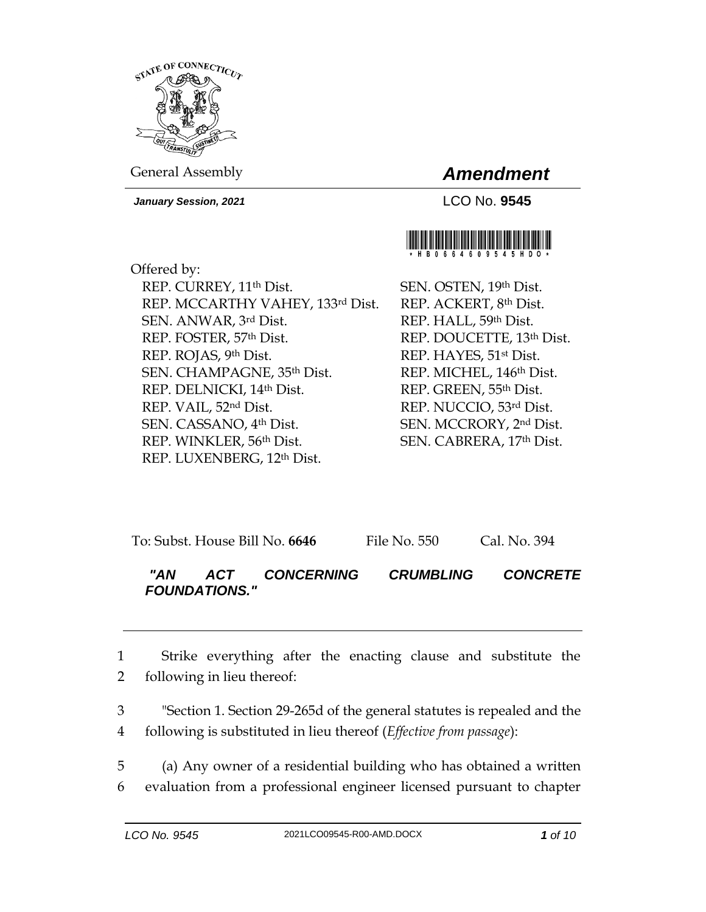

General Assembly *Amendment*

*January Session, 2021* LCO No. **9545**



Offered by: REP. CURREY, 11th Dist. REP. MCCARTHY VAHEY, 133rd Dist. SEN. ANWAR, 3rd Dist. REP. FOSTER, 57th Dist. REP. ROJAS, 9th Dist. SEN. CHAMPAGNE, 35th Dist. REP. DELNICKI, 14th Dist. REP. VAIL, 52nd Dist. SEN. CASSANO, 4th Dist. REP. WINKLER, 56th Dist. REP. LUXENBERG, 12th Dist.

SEN. OSTEN, 19th Dist. REP. ACKERT, 8th Dist. REP. HALL, 59th Dist. REP. DOUCETTE, 13th Dist. REP. HAYES, 51st Dist. REP. MICHEL, 146th Dist. REP. GREEN, 55th Dist. REP. NUCCIO, 53rd Dist. SEN. MCCRORY, 2nd Dist. SEN. CABRERA, 17th Dist.

| To: Subst. House Bill No. 6646 | File No. 550 | Cal. No. 394 |
|--------------------------------|--------------|--------------|
|--------------------------------|--------------|--------------|

# *"AN ACT CONCERNING CRUMBLING CONCRETE FOUNDATIONS."*

1 Strike everything after the enacting clause and substitute the 2 following in lieu thereof:

3 "Section 1. Section 29-265d of the general statutes is repealed and the 4 following is substituted in lieu thereof (*Effective from passage*):

5 (a) Any owner of a residential building who has obtained a written 6 evaluation from a professional engineer licensed pursuant to chapter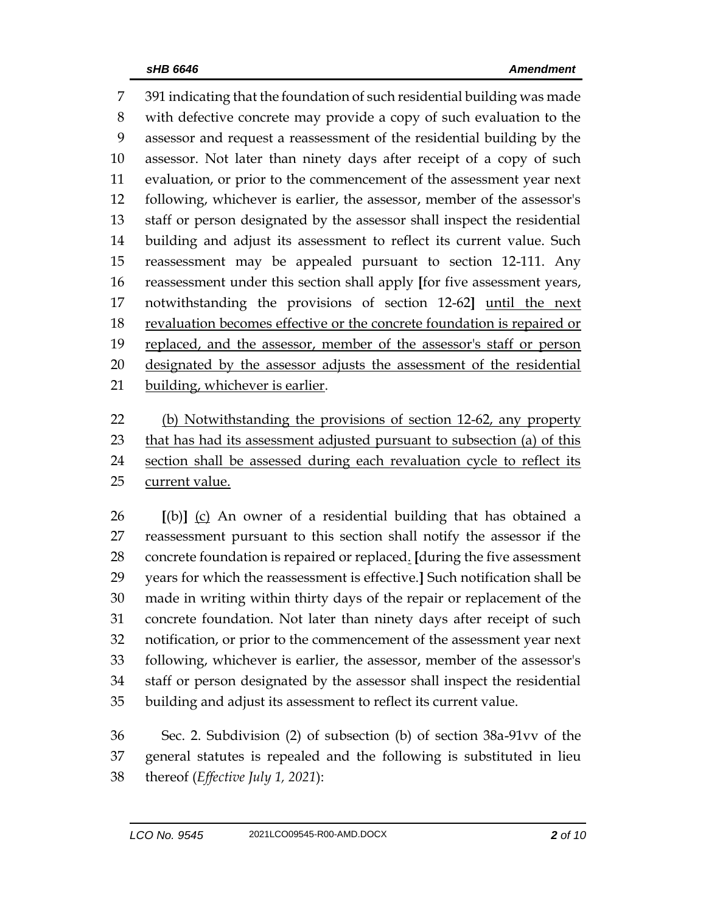391 indicating that the foundation of such residential building was made with defective concrete may provide a copy of such evaluation to the assessor and request a reassessment of the residential building by the assessor. Not later than ninety days after receipt of a copy of such evaluation, or prior to the commencement of the assessment year next following, whichever is earlier, the assessor, member of the assessor's staff or person designated by the assessor shall inspect the residential building and adjust its assessment to reflect its current value. Such reassessment may be appealed pursuant to section 12-111. Any reassessment under this section shall apply **[**for five assessment years, notwithstanding the provisions of section 12-62**]** until the next revaluation becomes effective or the concrete foundation is repaired or replaced, and the assessor, member of the assessor's staff or person 20 designated by the assessor adjusts the assessment of the residential building, whichever is earlier.

 (b) Notwithstanding the provisions of section 12-62, any property 23 that has had its assessment adjusted pursuant to subsection (a) of this 24 section shall be assessed during each revaluation cycle to reflect its current value.

 **[**(b)**]** (c) An owner of a residential building that has obtained a reassessment pursuant to this section shall notify the assessor if the concrete foundation is repaired or replaced. **[**during the five assessment years for which the reassessment is effective.**]** Such notification shall be made in writing within thirty days of the repair or replacement of the concrete foundation. Not later than ninety days after receipt of such notification, or prior to the commencement of the assessment year next following, whichever is earlier, the assessor, member of the assessor's staff or person designated by the assessor shall inspect the residential building and adjust its assessment to reflect its current value.

 Sec. 2. Subdivision (2) of subsection (b) of section 38a-91vv of the general statutes is repealed and the following is substituted in lieu thereof (*Effective July 1, 2021*):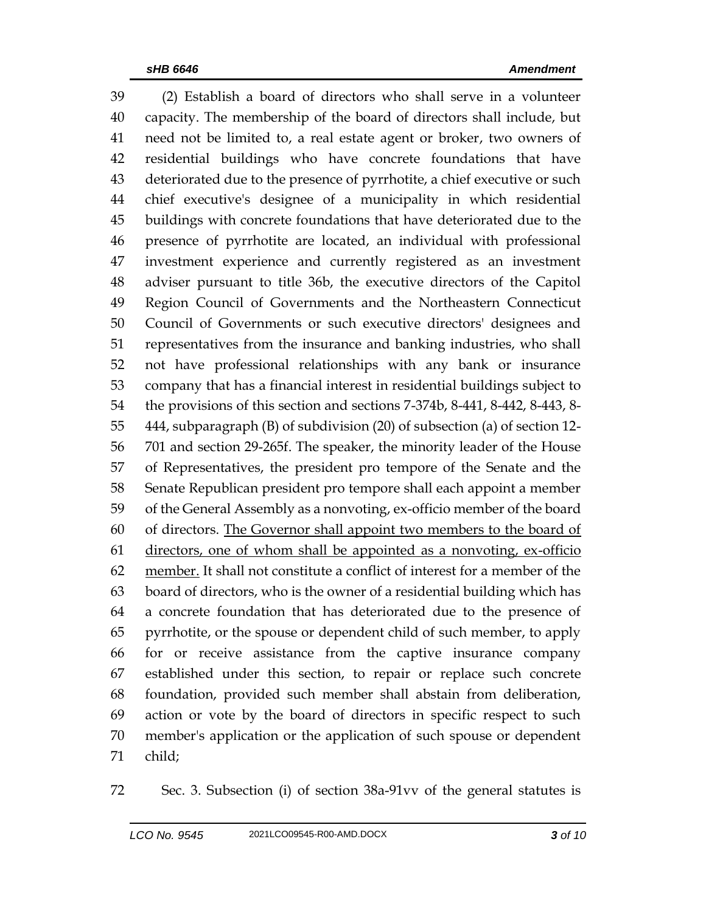(2) Establish a board of directors who shall serve in a volunteer capacity. The membership of the board of directors shall include, but need not be limited to, a real estate agent or broker, two owners of residential buildings who have concrete foundations that have deteriorated due to the presence of pyrrhotite, a chief executive or such chief executive's designee of a municipality in which residential buildings with concrete foundations that have deteriorated due to the presence of pyrrhotite are located, an individual with professional investment experience and currently registered as an investment adviser pursuant to title 36b, the executive directors of the Capitol Region Council of Governments and the Northeastern Connecticut Council of Governments or such executive directors' designees and representatives from the insurance and banking industries, who shall not have professional relationships with any bank or insurance company that has a financial interest in residential buildings subject to the provisions of this section and sections 7-374b, 8-441, 8-442, 8-443, 8- 444, subparagraph (B) of subdivision (20) of subsection (a) of section 12- 701 and section 29-265f. The speaker, the minority leader of the House of Representatives, the president pro tempore of the Senate and the Senate Republican president pro tempore shall each appoint a member of the General Assembly as a nonvoting, ex-officio member of the board of directors. The Governor shall appoint two members to the board of directors, one of whom shall be appointed as a nonvoting, ex-officio member. It shall not constitute a conflict of interest for a member of the board of directors, who is the owner of a residential building which has a concrete foundation that has deteriorated due to the presence of pyrrhotite, or the spouse or dependent child of such member, to apply for or receive assistance from the captive insurance company established under this section, to repair or replace such concrete foundation, provided such member shall abstain from deliberation, action or vote by the board of directors in specific respect to such member's application or the application of such spouse or dependent child;

Sec. 3. Subsection (i) of section 38a-91vv of the general statutes is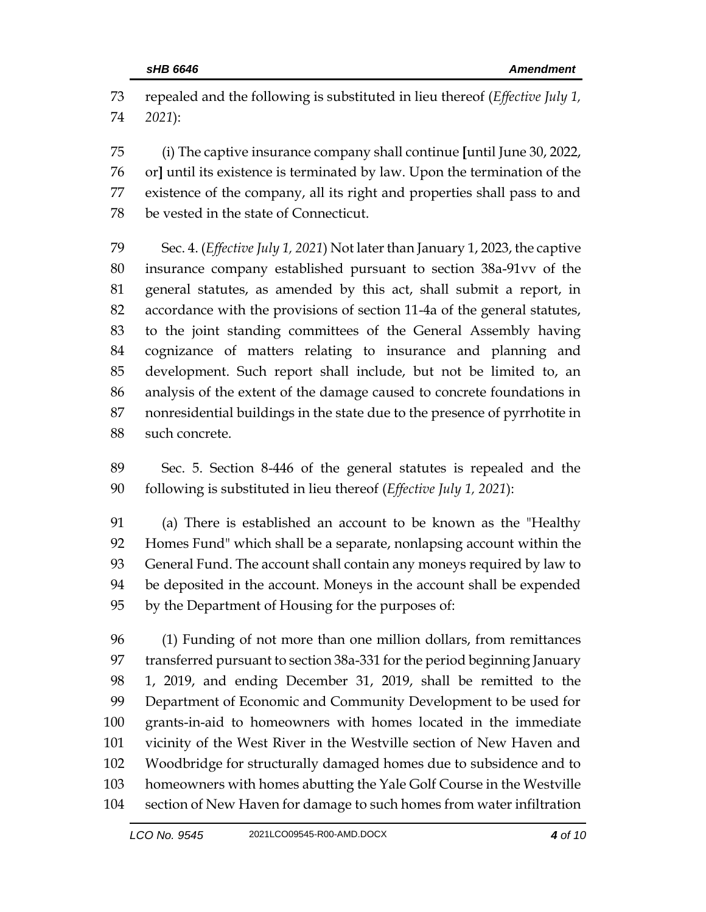repealed and the following is substituted in lieu thereof (*Effective July 1, 2021*):

 (i) The captive insurance company shall continue **[**until June 30, 2022, or**]** until its existence is terminated by law. Upon the termination of the existence of the company, all its right and properties shall pass to and be vested in the state of Connecticut.

 Sec. 4. (*Effective July 1, 2021*) Not later than January 1, 2023, the captive insurance company established pursuant to section 38a-91vv of the general statutes, as amended by this act, shall submit a report, in accordance with the provisions of section 11-4a of the general statutes, to the joint standing committees of the General Assembly having cognizance of matters relating to insurance and planning and development. Such report shall include, but not be limited to, an analysis of the extent of the damage caused to concrete foundations in nonresidential buildings in the state due to the presence of pyrrhotite in such concrete.

 Sec. 5. Section 8-446 of the general statutes is repealed and the following is substituted in lieu thereof (*Effective July 1, 2021*):

 (a) There is established an account to be known as the "Healthy Homes Fund" which shall be a separate, nonlapsing account within the General Fund. The account shall contain any moneys required by law to be deposited in the account. Moneys in the account shall be expended by the Department of Housing for the purposes of:

 (1) Funding of not more than one million dollars, from remittances transferred pursuant to section 38a-331 for the period beginning January 1, 2019, and ending December 31, 2019, shall be remitted to the Department of Economic and Community Development to be used for grants-in-aid to homeowners with homes located in the immediate vicinity of the West River in the Westville section of New Haven and Woodbridge for structurally damaged homes due to subsidence and to homeowners with homes abutting the Yale Golf Course in the Westville section of New Haven for damage to such homes from water infiltration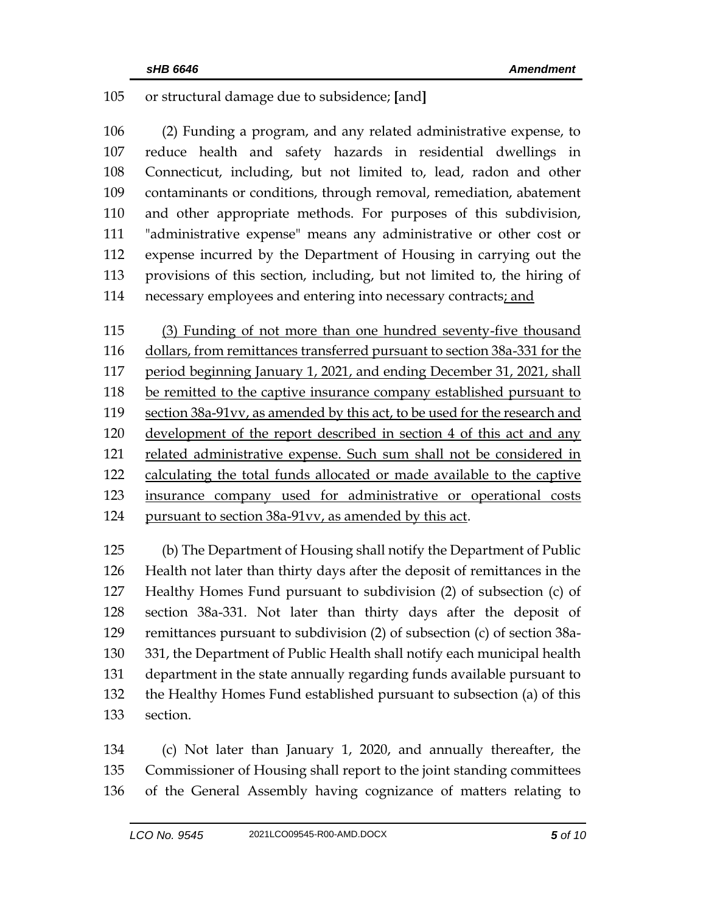## or structural damage due to subsidence; **[**and**]**

 (2) Funding a program, and any related administrative expense, to reduce health and safety hazards in residential dwellings in Connecticut, including, but not limited to, lead, radon and other contaminants or conditions, through removal, remediation, abatement and other appropriate methods. For purposes of this subdivision, "administrative expense" means any administrative or other cost or expense incurred by the Department of Housing in carrying out the provisions of this section, including, but not limited to, the hiring of necessary employees and entering into necessary contracts; and

 (3) Funding of not more than one hundred seventy-five thousand dollars, from remittances transferred pursuant to section 38a-331 for the period beginning January 1, 2021, and ending December 31, 2021, shall be remitted to the captive insurance company established pursuant to section 38a-91vv, as amended by this act, to be used for the research and development of the report described in section 4 of this act and any related administrative expense. Such sum shall not be considered in calculating the total funds allocated or made available to the captive insurance company used for administrative or operational costs pursuant to section 38a-91vv, as amended by this act.

 (b) The Department of Housing shall notify the Department of Public Health not later than thirty days after the deposit of remittances in the Healthy Homes Fund pursuant to subdivision (2) of subsection (c) of section 38a-331. Not later than thirty days after the deposit of remittances pursuant to subdivision (2) of subsection (c) of section 38a- 331, the Department of Public Health shall notify each municipal health department in the state annually regarding funds available pursuant to the Healthy Homes Fund established pursuant to subsection (a) of this section.

 (c) Not later than January 1, 2020, and annually thereafter, the Commissioner of Housing shall report to the joint standing committees of the General Assembly having cognizance of matters relating to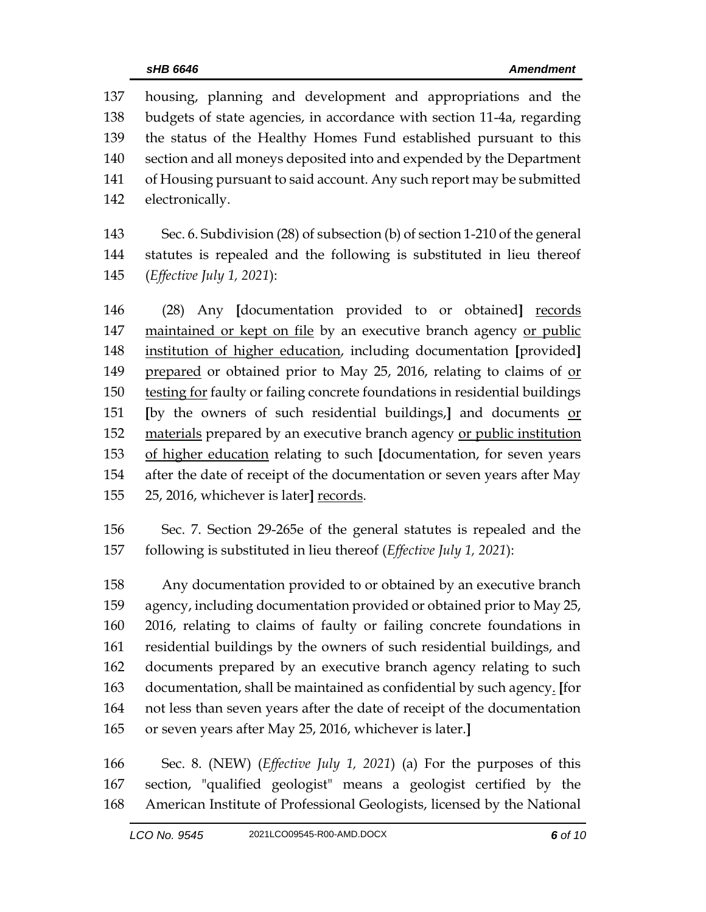housing, planning and development and appropriations and the budgets of state agencies, in accordance with section 11-4a, regarding the status of the Healthy Homes Fund established pursuant to this section and all moneys deposited into and expended by the Department of Housing pursuant to said account. Any such report may be submitted electronically.

 Sec. 6. Subdivision (28) of subsection (b) of section 1-210 of the general statutes is repealed and the following is substituted in lieu thereof (*Effective July 1, 2021*):

 (28) Any **[**documentation provided to or obtained**]** records maintained or kept on file by an executive branch agency or public institution of higher education, including documentation **[**provided**]** 149 prepared or obtained prior to May 25, 2016, relating to claims of <u>or</u> 150 testing for faulty or failing concrete foundations in residential buildings **[**by the owners of such residential buildings,**]** and documents or materials prepared by an executive branch agency or public institution of higher education relating to such **[**documentation, for seven years after the date of receipt of the documentation or seven years after May 25, 2016, whichever is later**]** records.

 Sec. 7. Section 29-265e of the general statutes is repealed and the following is substituted in lieu thereof (*Effective July 1, 2021*):

 Any documentation provided to or obtained by an executive branch agency, including documentation provided or obtained prior to May 25, 2016, relating to claims of faulty or failing concrete foundations in residential buildings by the owners of such residential buildings, and documents prepared by an executive branch agency relating to such documentation, shall be maintained as confidential by such agency. **[**for not less than seven years after the date of receipt of the documentation or seven years after May 25, 2016, whichever is later.**]**

 Sec. 8. (NEW) (*Effective July 1, 2021*) (a) For the purposes of this section, "qualified geologist" means a geologist certified by the American Institute of Professional Geologists, licensed by the National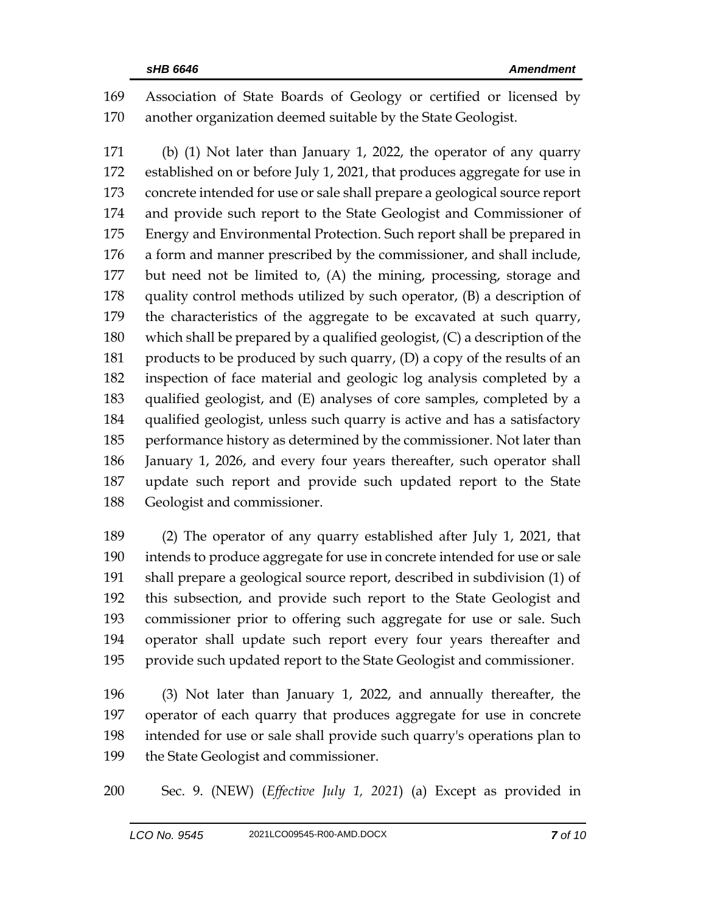Association of State Boards of Geology or certified or licensed by another organization deemed suitable by the State Geologist.

 (b) (1) Not later than January 1, 2022, the operator of any quarry established on or before July 1, 2021, that produces aggregate for use in concrete intended for use or sale shall prepare a geological source report and provide such report to the State Geologist and Commissioner of Energy and Environmental Protection. Such report shall be prepared in a form and manner prescribed by the commissioner, and shall include, but need not be limited to, (A) the mining, processing, storage and quality control methods utilized by such operator, (B) a description of the characteristics of the aggregate to be excavated at such quarry, which shall be prepared by a qualified geologist, (C) a description of the 181 products to be produced by such quarry, (D) a copy of the results of an inspection of face material and geologic log analysis completed by a qualified geologist, and (E) analyses of core samples, completed by a qualified geologist, unless such quarry is active and has a satisfactory performance history as determined by the commissioner. Not later than January 1, 2026, and every four years thereafter, such operator shall update such report and provide such updated report to the State Geologist and commissioner.

 (2) The operator of any quarry established after July 1, 2021, that intends to produce aggregate for use in concrete intended for use or sale shall prepare a geological source report, described in subdivision (1) of this subsection, and provide such report to the State Geologist and commissioner prior to offering such aggregate for use or sale. Such operator shall update such report every four years thereafter and provide such updated report to the State Geologist and commissioner.

 (3) Not later than January 1, 2022, and annually thereafter, the operator of each quarry that produces aggregate for use in concrete intended for use or sale shall provide such quarry's operations plan to the State Geologist and commissioner.

Sec. 9. (NEW) (*Effective July 1, 2021*) (a) Except as provided in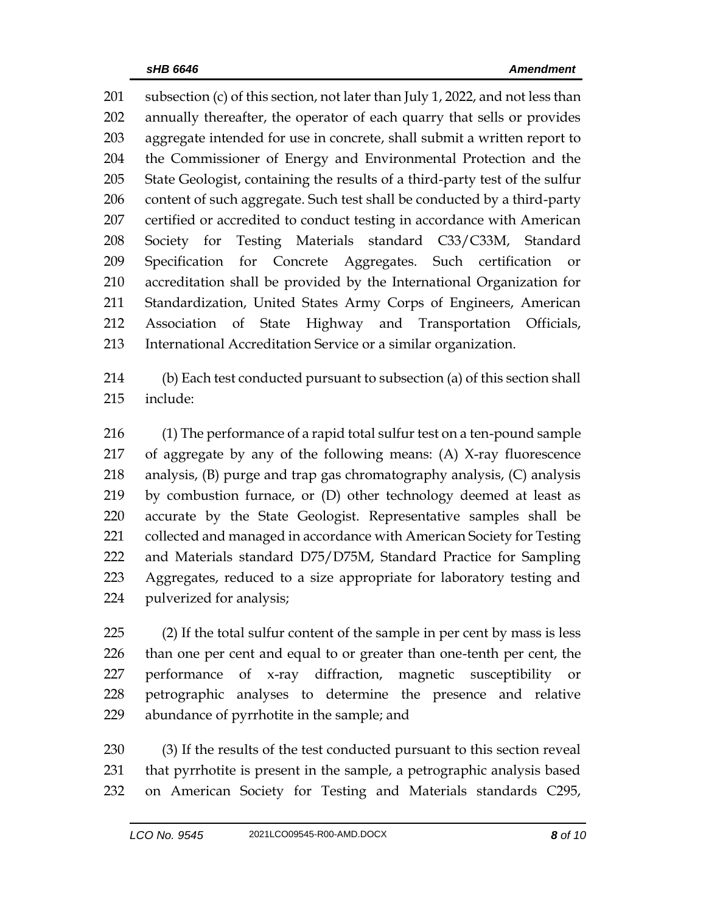subsection (c) of this section, not later than July 1, 2022, and not less than annually thereafter, the operator of each quarry that sells or provides aggregate intended for use in concrete, shall submit a written report to the Commissioner of Energy and Environmental Protection and the State Geologist, containing the results of a third-party test of the sulfur content of such aggregate. Such test shall be conducted by a third-party certified or accredited to conduct testing in accordance with American Society for Testing Materials standard C33/C33M, Standard Specification for Concrete Aggregates. Such certification or accreditation shall be provided by the International Organization for Standardization, United States Army Corps of Engineers, American Association of State Highway and Transportation Officials, International Accreditation Service or a similar organization.

 (b) Each test conducted pursuant to subsection (a) of this section shall include:

 (1) The performance of a rapid total sulfur test on a ten-pound sample of aggregate by any of the following means: (A) X-ray fluorescence analysis, (B) purge and trap gas chromatography analysis, (C) analysis by combustion furnace, or (D) other technology deemed at least as accurate by the State Geologist. Representative samples shall be 221 collected and managed in accordance with American Society for Testing and Materials standard D75/D75M, Standard Practice for Sampling Aggregates, reduced to a size appropriate for laboratory testing and pulverized for analysis;

 (2) If the total sulfur content of the sample in per cent by mass is less than one per cent and equal to or greater than one-tenth per cent, the performance of x-ray diffraction, magnetic susceptibility or petrographic analyses to determine the presence and relative abundance of pyrrhotite in the sample; and

 (3) If the results of the test conducted pursuant to this section reveal that pyrrhotite is present in the sample, a petrographic analysis based on American Society for Testing and Materials standards C295,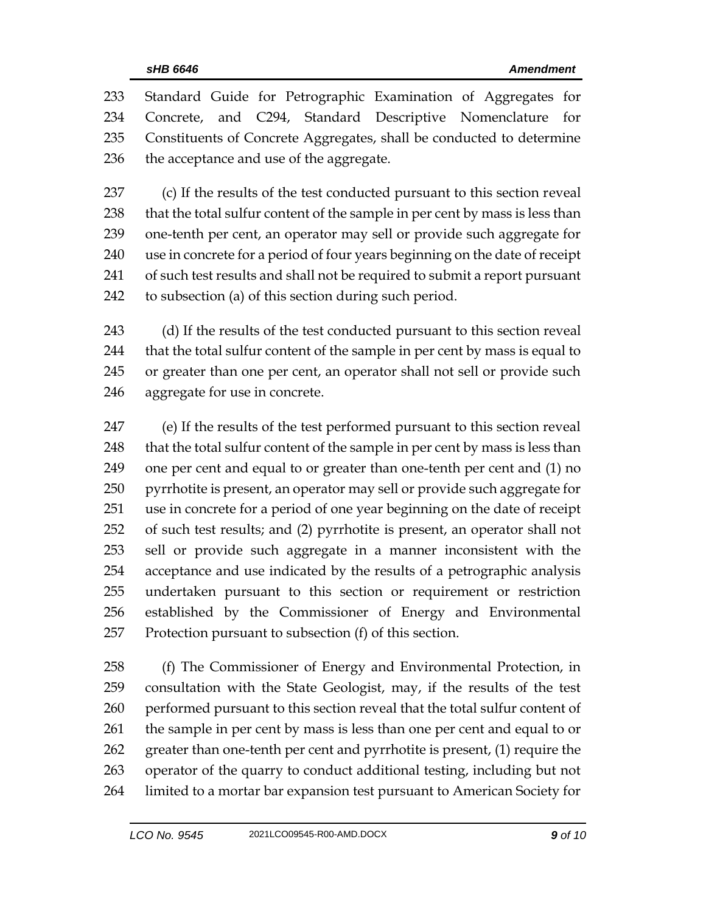Standard Guide for Petrographic Examination of Aggregates for Concrete, and C294, Standard Descriptive Nomenclature for Constituents of Concrete Aggregates, shall be conducted to determine 236 the acceptance and use of the aggregate.

 (c) If the results of the test conducted pursuant to this section reveal 238 that the total sulfur content of the sample in per cent by mass is less than one-tenth per cent, an operator may sell or provide such aggregate for use in concrete for a period of four years beginning on the date of receipt of such test results and shall not be required to submit a report pursuant to subsection (a) of this section during such period.

 (d) If the results of the test conducted pursuant to this section reveal that the total sulfur content of the sample in per cent by mass is equal to or greater than one per cent, an operator shall not sell or provide such aggregate for use in concrete.

 (e) If the results of the test performed pursuant to this section reveal 248 that the total sulfur content of the sample in per cent by mass is less than one per cent and equal to or greater than one-tenth per cent and (1) no pyrrhotite is present, an operator may sell or provide such aggregate for use in concrete for a period of one year beginning on the date of receipt of such test results; and (2) pyrrhotite is present, an operator shall not sell or provide such aggregate in a manner inconsistent with the acceptance and use indicated by the results of a petrographic analysis undertaken pursuant to this section or requirement or restriction established by the Commissioner of Energy and Environmental Protection pursuant to subsection (f) of this section.

 (f) The Commissioner of Energy and Environmental Protection, in consultation with the State Geologist, may, if the results of the test performed pursuant to this section reveal that the total sulfur content of the sample in per cent by mass is less than one per cent and equal to or greater than one-tenth per cent and pyrrhotite is present, (1) require the operator of the quarry to conduct additional testing, including but not limited to a mortar bar expansion test pursuant to American Society for